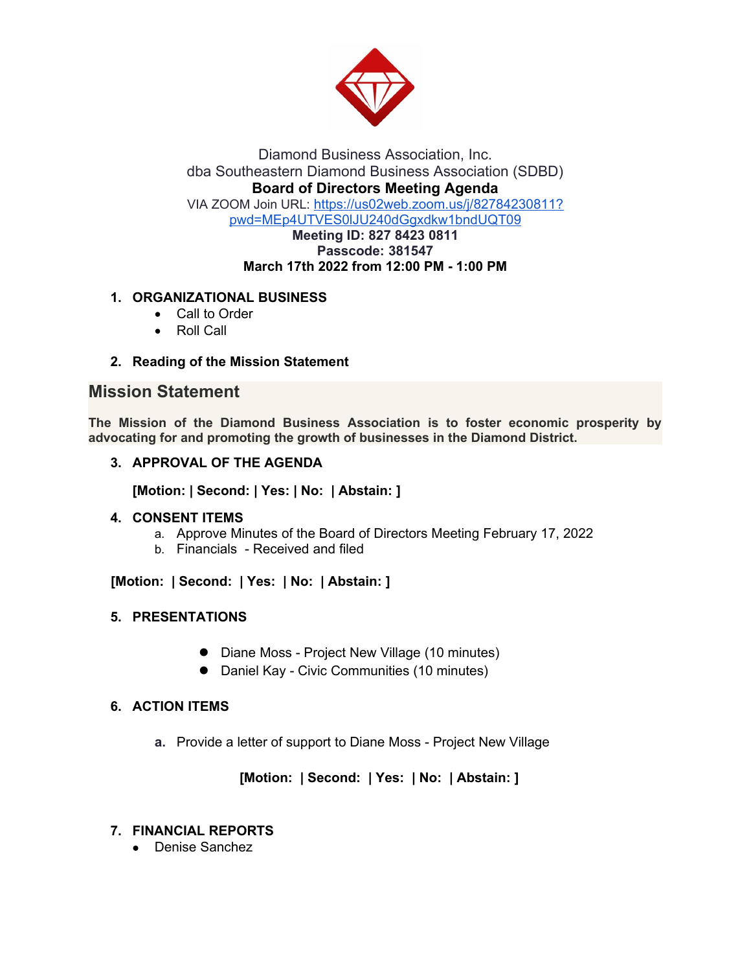

Diamond Business Association, Inc. dba Southeastern Diamond Business Association (SDBD) **Board of Directors Meeting Agenda** VIA ZOOM Join URL: https://us02web.zoom.us/j/82784230811? pwd=MEp4UTVES0lJU240dGgxdkw1bndUQT09 **Meeting ID: 827 8423 0811**

#### **Passcode: 381547 March 17th 2022 from 12:00 PM - 1:00 PM**

# **1. ORGANIZATIONAL BUSINESS**

- Call to Order
- Roll Call
- **2. Reading of the Mission Statement**

# **Mission Statement**

**The Mission of the Diamond Business Association is to foster economic prosperity by advocating for and promoting the growth of businesses in the Diamond District.**

# **3. APPROVAL OF THE AGENDA**

**[Motion: | Second: | Yes: | No: | Abstain: ]**

## **4. CONSENT ITEMS**

- a. Approve Minutes of the Board of Directors Meeting February 17, 2022
- b. Financials Received and filed

 **[Motion: | Second: | Yes: | No: | Abstain: ]**

## **5. PRESENTATIONS**

- Diane Moss Project New Village (10 minutes)
- Daniel Kay Civic Communities (10 minutes)

## **6. ACTION ITEMS**

**a.** Provide a letter of support to Diane Moss - Project New Village

 **[Motion: | Second: | Yes: | No: | Abstain: ]**

# **7. FINANCIAL REPORTS**

Denise Sanchez